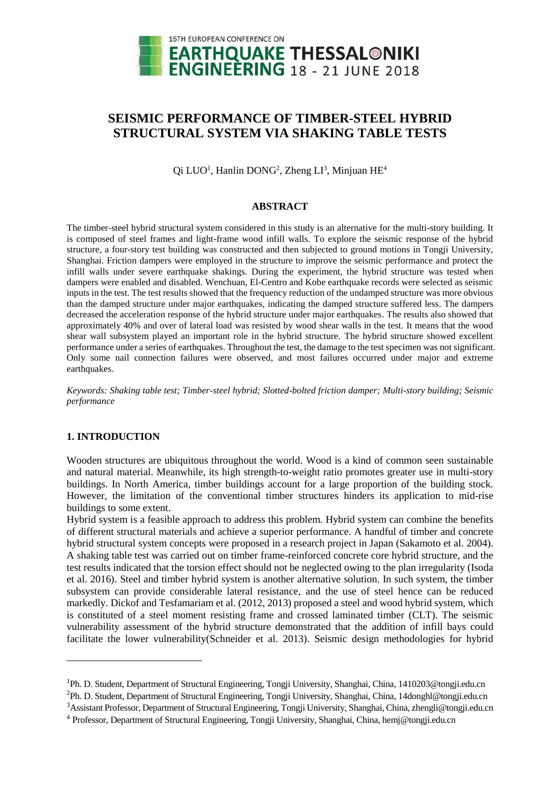

# **SEISMIC PERFORMANCE OF TIMBER-STEEL HYBRID STRUCTURAL SYSTEM VIA SHAKING TABLE TESTS**

Qi LUO<sup>1</sup>, Hanlin DONG<sup>2</sup>, Zheng LI<sup>3</sup>, Minjuan HE<sup>4</sup>

### **ABSTRACT**

The timber-steel hybrid structural system considered in this study is an alternative for the multi-story building. It is composed of steel frames and light-frame wood infill walls. To explore the seismic response of the hybrid structure, a four-story test building was constructed and then subjected to ground motions in Tongji University, Shanghai. Friction dampers were employed in the structure to improve the seismic performance and protect the infill walls under severe earthquake shakings. During the experiment, the hybrid structure was tested when dampers were enabled and disabled. Wenchuan, El-Centro and Kobe earthquake records were selected as seismic inputs in the test. The test results showed that the frequency reduction of the undamped structure was more obvious than the damped structure under major earthquakes, indicating the damped structure suffered less. The dampers decreased the acceleration response of the hybrid structure under major earthquakes. The results also showed that approximately 40% and over of lateral load was resisted by wood shear walls in the test. It means that the wood shear wall subsystem played an important role in the hybrid structure. The hybrid structure showed excellent performance under a series of earthquakes. Throughout the test, the damage to the test specimen was not significant. Only some nail connection failures were observed, and most failures occurred under major and extreme earthquakes.

*Keywords: Shaking table test; Timber-steel hybrid; Slotted-bolted friction damper; Multi-story building; Seismic performance*

# **1. INTRODUCTION**

 $\overline{a}$ 

Wooden structures are ubiquitous throughout the world. Wood is a kind of common seen sustainable and natural material. Meanwhile, its high strength-to-weight ratio promotes greater use in multi-story buildings. In North America, timber buildings account for a large proportion of the building stock. However, the limitation of the conventional timber structures hinders its application to mid-rise buildings to some extent.

Hybrid system is a feasible approach to address this problem. Hybrid system can combine the benefits of different structural materials and achieve a superior performance. A handful of timber and concrete hybrid structural system concepts were proposed in a research project in Japan (Sakamoto et al. 2004). A shaking table test was carried out on timber frame-reinforced concrete core hybrid structure, and the test results indicated that the torsion effect should not be neglected owing to the plan irregularity (Isoda et al. 2016). Steel and timber hybrid system is another alternative solution. In such system, the timber subsystem can provide considerable lateral resistance, and the use of steel hence can be reduced markedly. Dickof and Tesfamariam et al. (2012, 2013) proposed a steel and wood hybrid system, which is constituted of a steel moment resisting frame and crossed laminated timber (CLT). The seismic vulnerability assessment of the hybrid structure demonstrated that the addition of infill bays could facilitate the lower vulnerability(Schneider et al. 2013). Seismic design methodologies for hybrid

<sup>&</sup>lt;sup>1</sup>Ph. D. Student, Department of Structural Engineering, Tongji University, Shanghai, China, 1410203@tongji.edu.cn <sup>2</sup>Ph. D. Student, Department of Structural Engineering, Tongji University, Shanghai, China, 14donghl@tongji.edu.cn <sup>3</sup>Assistant Professor, Department of Structural Engineering, Tongji University, Shanghai, China, zhengli@tongji.edu.cn

<sup>4</sup> Professor, Department of Structural Engineering, Tongji University, Shanghai, China, hemj@tongji.edu.cn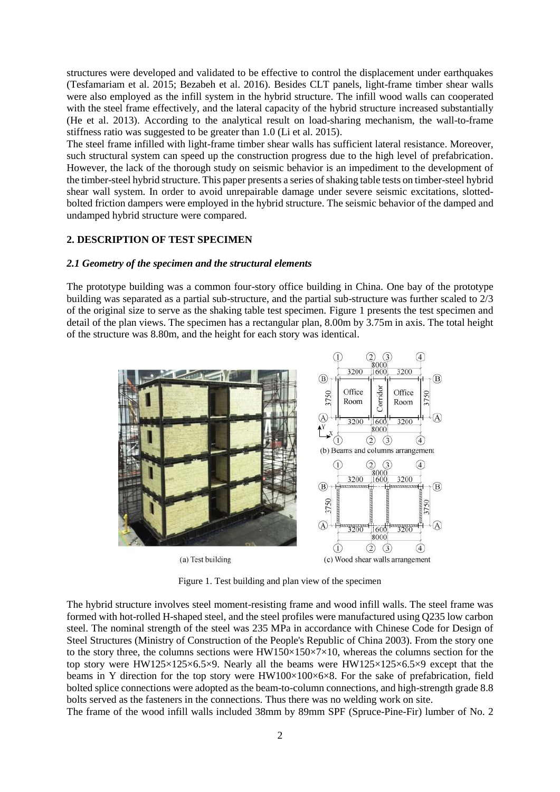structures were developed and validated to be effective to control the displacement under earthquakes (Tesfamariam et al. 2015; Bezabeh et al. 2016). Besides CLT panels, light-frame timber shear walls were also employed as the infill system in the hybrid structure. The infill wood walls can cooperated with the steel frame effectively, and the lateral capacity of the hybrid structure increased substantially (He et al. 2013). According to the analytical result on load-sharing mechanism, the wall-to-frame stiffness ratio was suggested to be greater than 1.0 (Li et al. 2015).

The steel frame infilled with light-frame timber shear walls has sufficient lateral resistance. Moreover, such structural system can speed up the construction progress due to the high level of prefabrication. However, the lack of the thorough study on seismic behavior is an impediment to the development of the timber-steel hybrid structure. This paper presents a series of shaking table tests on timber-steel hybrid shear wall system. In order to avoid unrepairable damage under severe seismic excitations, slottedbolted friction dampers were employed in the hybrid structure. The seismic behavior of the damped and undamped hybrid structure were compared.

## **2. DESCRIPTION OF TEST SPECIMEN**

#### *2.1 Geometry of the specimen and the structural elements*

The prototype building was a common four-story office building in China. One bay of the prototype building was separated as a partial sub-structure, and the partial sub-structure was further scaled to 2/3 of the original size to serve as the shaking table test specimen. Figure 1 presents the test specimen and detail of the plan views. The specimen has a rectangular plan, 8.00m by 3.75m in axis. The total height of the structure was 8.80m, and the height for each story was identical.



Figure 1. Test building and plan view of the specimen

The hybrid structure involves steel moment-resisting frame and wood infill walls. The steel frame was formed with hot-rolled H-shaped steel, and the steel profiles were manufactured using Q235 low carbon steel. The nominal strength of the steel was 235 MPa in accordance with Chinese Code for Design of Steel Structures (Ministry of Construction of the People's Republic of China 2003). From the story one to the story three, the columns sections were  $HW150\times150\times7\times10$ , whereas the columns section for the top story were HW125×125×6.5×9. Nearly all the beams were HW125×125×6.5×9 except that the beams in Y direction for the top story were  $HW100\times100\times6\times8$ . For the sake of prefabrication, field bolted splice connections were adopted as the beam-to-column connections, and high-strength grade 8.8 bolts served as the fasteners in the connections. Thus there was no welding work on site.

The frame of the wood infill walls included 38mm by 89mm SPF (Spruce-Pine-Fir) lumber of No. 2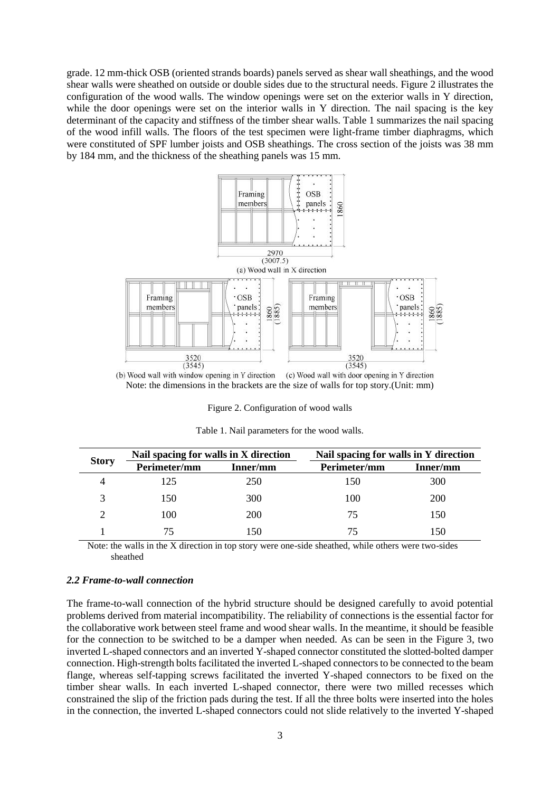grade. 12 mm-thick OSB (oriented strands boards) panels served as shear wall sheathings, and the wood shear walls were sheathed on outside or double sides due to the structural needs. Figure 2 illustrates the configuration of the wood walls. The window openings were set on the exterior walls in Y direction, while the door openings were set on the interior walls in Y direction. The nail spacing is the key determinant of the capacity and stiffness of the timber shear walls. Table 1 summarizes the nail spacing of the wood infill walls. The floors of the test specimen were light-frame timber diaphragms, which were constituted of SPF lumber joists and OSB sheathings. The cross section of the joists was 38 mm by 184 mm, and the thickness of the sheathing panels was 15 mm.



Note: the dimensions in the brackets are the size of walls for top story.(Unit: mm)

Figure 2. Configuration of wood walls

| <b>Story</b> | Nail spacing for walls in X direction |          | Nail spacing for walls in Y direction |          |
|--------------|---------------------------------------|----------|---------------------------------------|----------|
|              | Perimeter/mm                          | Inner/mm | Perimeter/mm                          | Inner/mm |
| 4            | 125                                   | 250      | 150                                   | 300      |
| 3            | 150                                   | 300      | 100                                   | 200      |
| ∍            | 100                                   | 200      | 75                                    | 150      |
|              | 75                                    | 150      | 75                                    | 150      |

Table 1. Nail parameters for the wood walls.

Note: the walls in the X direction in top story were one-side sheathed, while others were two-sides sheathed

## *2.2 Frame-to-wall connection*

The frame-to-wall connection of the hybrid structure should be designed carefully to avoid potential problems derived from material incompatibility. The reliability of connections is the essential factor for the collaborative work between steel frame and wood shear walls. In the meantime, it should be feasible for the connection to be switched to be a damper when needed. As can be seen in the Figure 3, two inverted L-shaped connectors and an inverted Y-shaped connector constituted the slotted-bolted damper connection. High-strength bolts facilitated the inverted L-shaped connectors to be connected to the beam flange, whereas self-tapping screws facilitated the inverted Y-shaped connectors to be fixed on the timber shear walls. In each inverted L-shaped connector, there were two milled recesses which constrained the slip of the friction pads during the test. If all the three bolts were inserted into the holes in the connection, the inverted L-shaped connectors could not slide relatively to the inverted Y-shaped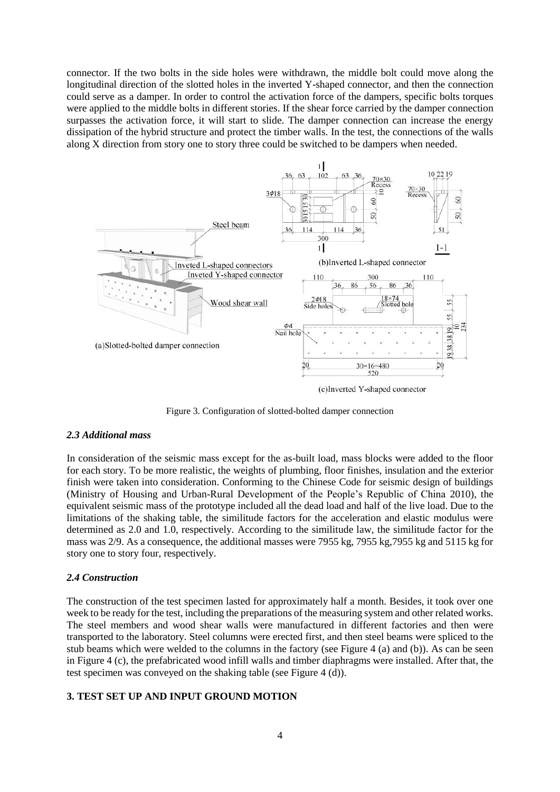connector. If the two bolts in the side holes were withdrawn, the middle bolt could move along the longitudinal direction of the slotted holes in the inverted Y-shaped connector, and then the connection could serve as a damper. In order to control the activation force of the dampers, specific bolts torques were applied to the middle bolts in different stories. If the shear force carried by the damper connection surpasses the activation force, it will start to slide. The damper connection can increase the energy dissipation of the hybrid structure and protect the timber walls. In the test, the connections of the walls along X direction from story one to story three could be switched to be dampers when needed.



Figure 3. Configuration of slotted-bolted damper connection

### *2.3 Additional mass*

In consideration of the seismic mass except for the as-built load, mass blocks were added to the floor for each story. To be more realistic, the weights of plumbing, floor finishes, insulation and the exterior finish were taken into consideration. Conforming to the Chinese Code for seismic design of buildings (Ministry of Housing and Urban-Rural Development of the People's Republic of China 2010), the equivalent seismic mass of the prototype included all the dead load and half of the live load. Due to the limitations of the shaking table, the similitude factors for the acceleration and elastic modulus were determined as 2.0 and 1.0, respectively. According to the similitude law, the similitude factor for the mass was 2/9. As a consequence, the additional masses were 7955 kg, 7955 kg,7955 kg and 5115 kg for story one to story four, respectively.

### *2.4 Construction*

The construction of the test specimen lasted for approximately half a month. Besides, it took over one week to be ready for the test, including the preparations of the measuring system and other related works. The steel members and wood shear walls were manufactured in different factories and then were transported to the laboratory. Steel columns were erected first, and then steel beams were spliced to the stub beams which were welded to the columns in the factory (see Figure 4 (a) and (b)). As can be seen in Figure 4 (c), the prefabricated wood infill walls and timber diaphragms were installed. After that, the test specimen was conveyed on the shaking table (see Figure 4 (d)).

## **3. TEST SET UP AND INPUT GROUND MOTION**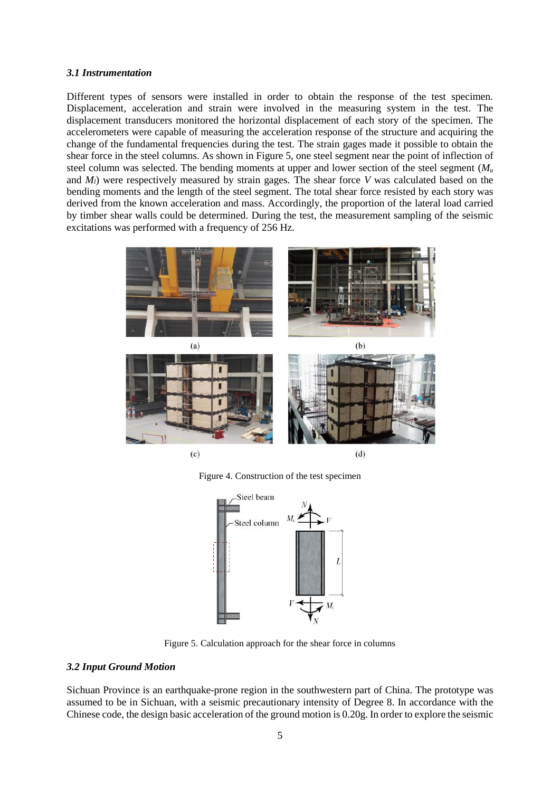### *3.1 Instrumentation*

Different types of sensors were installed in order to obtain the response of the test specimen. Displacement, acceleration and strain were involved in the measuring system in the test. The displacement transducers monitored the horizontal displacement of each story of the specimen. The accelerometers were capable of measuring the acceleration response of the structure and acquiring the change of the fundamental frequencies during the test. The strain gages made it possible to obtain the shear force in the steel columns. As shown in Figure 5, one steel segment near the point of inflection of steel column was selected. The bending moments at upper and lower section of the steel segment (*M<sup>u</sup>* and *Ml*) were respectively measured by strain gages. The shear force *V* was calculated based on the bending moments and the length of the steel segment. The total shear force resisted by each story was derived from the known acceleration and mass. Accordingly, the proportion of the lateral load carried by timber shear walls could be determined. During the test, the measurement sampling of the seismic excitations was performed with a frequency of 256 Hz.



Figure 4. Construction of the test specimen



Figure 5. Calculation approach for the shear force in columns

# *3.2 Input Ground Motion*

Sichuan Province is an earthquake-prone region in the southwestern part of China. The prototype was assumed to be in Sichuan, with a seismic precautionary intensity of Degree 8. In accordance with the Chinese code, the design basic acceleration of the ground motion is 0.20g. In order to explore the seismic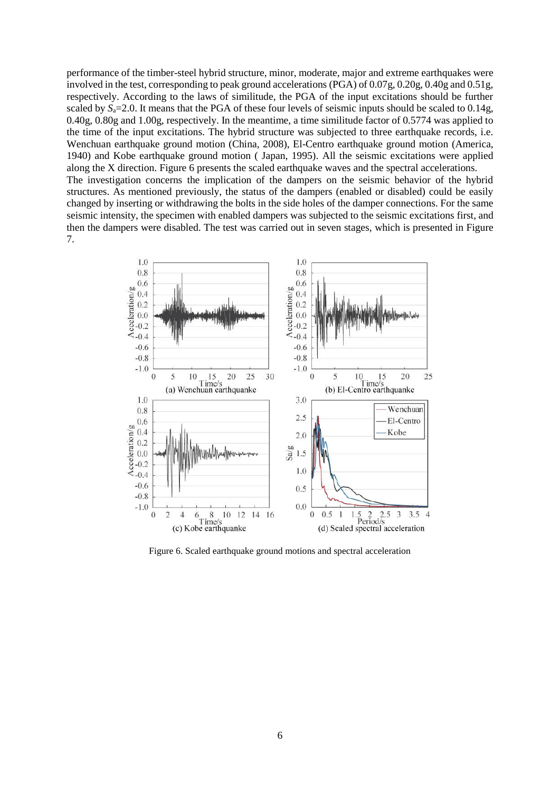performance of the timber-steel hybrid structure, minor, moderate, major and extreme earthquakes were involved in the test, corresponding to peak ground accelerations (PGA) of 0.07g, 0.20g, 0.40g and 0.51g, respectively. According to the laws of similitude, the PGA of the input excitations should be further scaled by  $S_a = 2.0$ . It means that the PGA of these four levels of seismic inputs should be scaled to 0.14g, 0.40g, 0.80g and 1.00g, respectively. In the meantime, a time similitude factor of 0.5774 was applied to the time of the input excitations. The hybrid structure was subjected to three earthquake records, i.e. Wenchuan earthquake ground motion (China, 2008), El-Centro earthquake ground motion (America, 1940) and Kobe earthquake ground motion ( Japan, 1995). All the seismic excitations were applied along the X direction. Figure 6 presents the scaled earthquake waves and the spectral accelerations. The investigation concerns the implication of the dampers on the seismic behavior of the hybrid structures. As mentioned previously, the status of the dampers (enabled or disabled) could be easily changed by inserting or withdrawing the bolts in the side holes of the damper connections. For the same seismic intensity, the specimen with enabled dampers was subjected to the seismic excitations first, and then the dampers were disabled. The test was carried out in seven stages, which is presented in Figure 7.



Figure 6. Scaled earthquake ground motions and spectral acceleration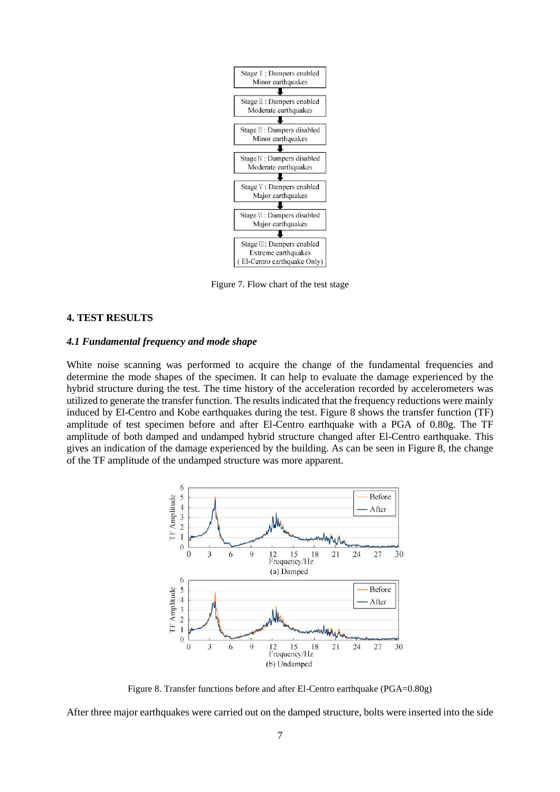

Figure 7. Flow chart of the test stage

# **4. TEST RESULTS**

#### *4.1 Fundamental frequency and mode shape*

White noise scanning was performed to acquire the change of the fundamental frequencies and determine the mode shapes of the specimen. It can help to evaluate the damage experienced by the hybrid structure during the test. The time history of the acceleration recorded by accelerometers was utilized to generate the transfer function. The results indicated that the frequency reductions were mainly induced by El-Centro and Kobe earthquakes during the test. Figure 8 shows the transfer function (TF) amplitude of test specimen before and after El-Centro earthquake with a PGA of 0.80g. The TF amplitude of both damped and undamped hybrid structure changed after El-Centro earthquake. This gives an indication of the damage experienced by the building. As can be seen in Figure 8, the change of the TF amplitude of the undamped structure was more apparent.



Figure 8. Transfer functions before and after El-Centro earthquake (PGA=0.80g)

After three major earthquakes were carried out on the damped structure, bolts were inserted into the side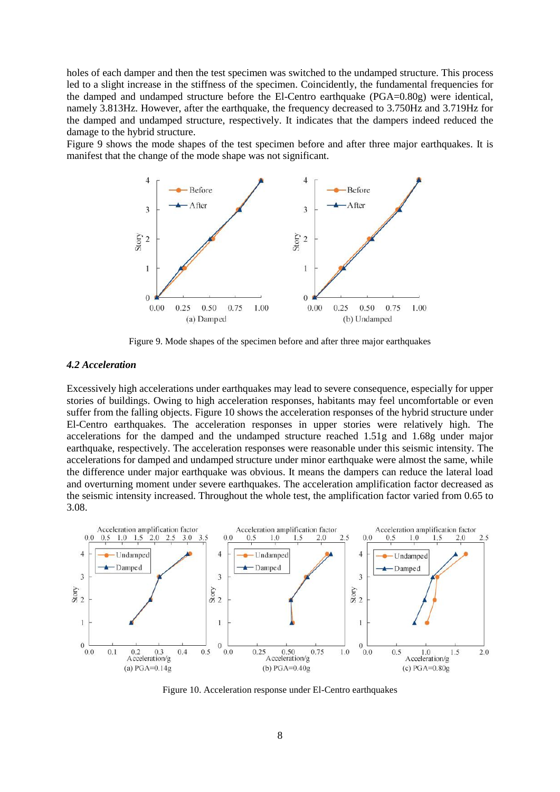holes of each damper and then the test specimen was switched to the undamped structure. This process led to a slight increase in the stiffness of the specimen. Coincidently, the fundamental frequencies for the damped and undamped structure before the El-Centro earthquake (PGA=0.80g) were identical, namely 3.813Hz. However, after the earthquake, the frequency decreased to 3.750Hz and 3.719Hz for the damped and undamped structure, respectively. It indicates that the dampers indeed reduced the damage to the hybrid structure.

Figure 9 shows the mode shapes of the test specimen before and after three major earthquakes. It is manifest that the change of the mode shape was not significant.



Figure 9. Mode shapes of the specimen before and after three major earthquakes

# *4.2 Acceleration*

Excessively high accelerations under earthquakes may lead to severe consequence, especially for upper stories of buildings. Owing to high acceleration responses, habitants may feel uncomfortable or even suffer from the falling objects. Figure 10 shows the acceleration responses of the hybrid structure under El-Centro earthquakes. The acceleration responses in upper stories were relatively high. The accelerations for the damped and the undamped structure reached 1.51g and 1.68g under major earthquake, respectively. The acceleration responses were reasonable under this seismic intensity. The accelerations for damped and undamped structure under minor earthquake were almost the same, while the difference under major earthquake was obvious. It means the dampers can reduce the lateral load and overturning moment under severe earthquakes. The acceleration amplification factor decreased as the seismic intensity increased. Throughout the whole test, the amplification factor varied from 0.65 to 3.08.



Figure 10. Acceleration response under El-Centro earthquakes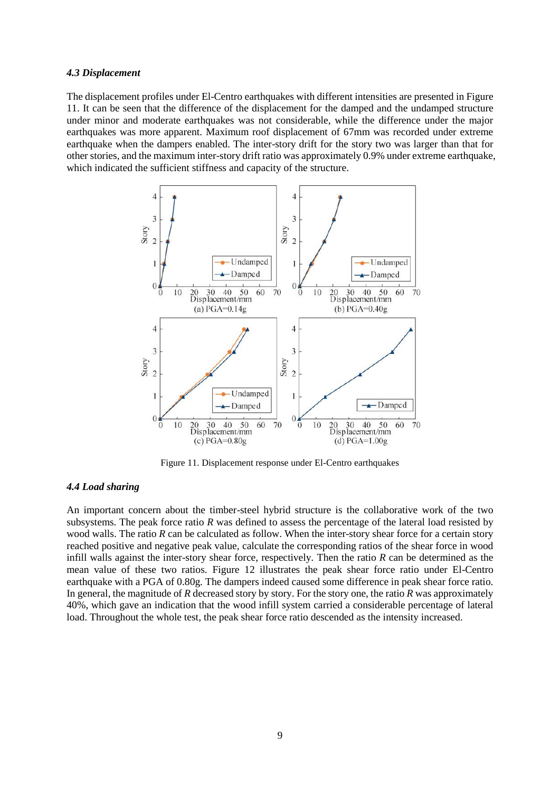#### *4.3 Displacement*

The displacement profiles under El-Centro earthquakes with different intensities are presented in Figure 11. It can be seen that the difference of the displacement for the damped and the undamped structure under minor and moderate earthquakes was not considerable, while the difference under the major earthquakes was more apparent. Maximum roof displacement of 67mm was recorded under extreme earthquake when the dampers enabled. The inter-story drift for the story two was larger than that for other stories, and the maximum inter-story drift ratio was approximately 0.9% under extreme earthquake, which indicated the sufficient stiffness and capacity of the structure.



Figure 11. Displacement response under El-Centro earthquakes

# *4.4 Load sharing*

An important concern about the timber-steel hybrid structure is the collaborative work of the two subsystems. The peak force ratio *R* was defined to assess the percentage of the lateral load resisted by wood walls. The ratio *R* can be calculated as follow. When the inter-story shear force for a certain story reached positive and negative peak value, calculate the corresponding ratios of the shear force in wood infill walls against the inter-story shear force, respectively. Then the ratio *R* can be determined as the mean value of these two ratios. Figure 12 illustrates the peak shear force ratio under El-Centro earthquake with a PGA of 0.80g. The dampers indeed caused some difference in peak shear force ratio. In general, the magnitude of *R* decreased story by story. For the story one, the ratio *R* was approximately 40%, which gave an indication that the wood infill system carried a considerable percentage of lateral load. Throughout the whole test, the peak shear force ratio descended as the intensity increased.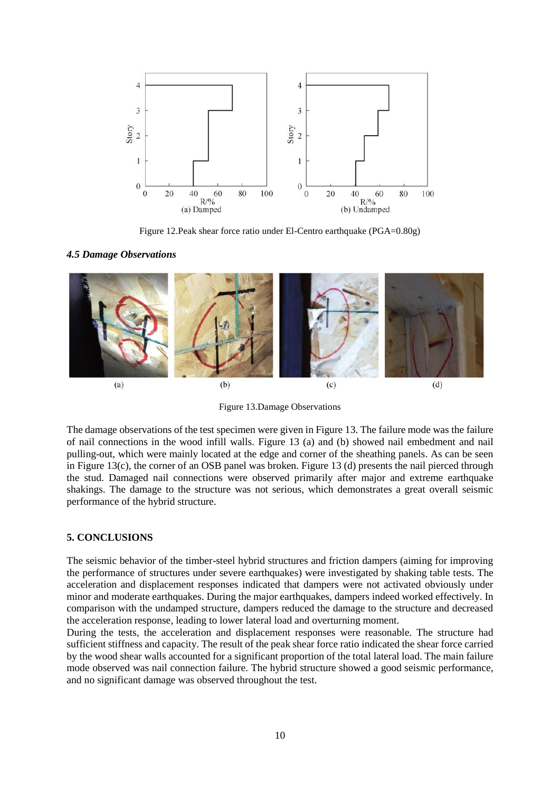

Figure 12.Peak shear force ratio under El-Centro earthquake (PGA=0.80g)

#### *4.5 Damage Observations*



Figure 13.Damage Observations

The damage observations of the test specimen were given in Figure 13. The failure mode was the failure of nail connections in the wood infill walls. Figure 13 (a) and (b) showed nail embedment and nail pulling-out, which were mainly located at the edge and corner of the sheathing panels. As can be seen in Figure 13(c), the corner of an OSB panel was broken. Figure 13 (d) presents the nail pierced through the stud. Damaged nail connections were observed primarily after major and extreme earthquake shakings. The damage to the structure was not serious, which demonstrates a great overall seismic performance of the hybrid structure.

#### **5. CONCLUSIONS**

The seismic behavior of the timber-steel hybrid structures and friction dampers (aiming for improving the performance of structures under severe earthquakes) were investigated by shaking table tests. The acceleration and displacement responses indicated that dampers were not activated obviously under minor and moderate earthquakes. During the major earthquakes, dampers indeed worked effectively. In comparison with the undamped structure, dampers reduced the damage to the structure and decreased the acceleration response, leading to lower lateral load and overturning moment.

During the tests, the acceleration and displacement responses were reasonable. The structure had sufficient stiffness and capacity. The result of the peak shear force ratio indicated the shear force carried by the wood shear walls accounted for a significant proportion of the total lateral load. The main failure mode observed was nail connection failure. The hybrid structure showed a good seismic performance, and no significant damage was observed throughout the test.